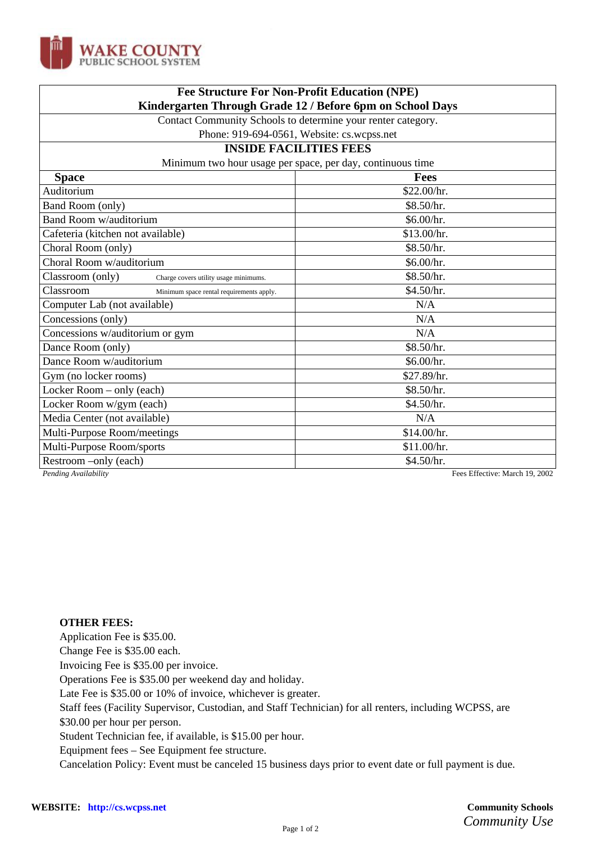

| <b>Fee Structure For Non-Profit Education (NPE)</b>          |             |
|--------------------------------------------------------------|-------------|
| Kindergarten Through Grade 12 / Before 6pm on School Days    |             |
| Contact Community Schools to determine your renter category. |             |
| Phone: 919-694-0561, Website: cs.wcpss.net                   |             |
| <b>INSIDE FACILITIES FEES</b>                                |             |
| Minimum two hour usage per space, per day, continuous time   |             |
| <b>Space</b>                                                 | <b>Fees</b> |
| Auditorium                                                   | \$22.00/hr. |
| Band Room (only)                                             | \$8.50/hr.  |
| Band Room w/auditorium                                       | \$6.00/hr.  |
| Cafeteria (kitchen not available)                            | \$13.00/hr. |
| Choral Room (only)                                           | \$8.50/hr.  |
| Choral Room w/auditorium                                     | \$6.00/hr.  |
| Classroom (only)<br>Charge covers utility usage minimums.    | \$8.50/hr.  |
| Classroom<br>Minimum space rental requirements apply.        | \$4.50/hr.  |
| Computer Lab (not available)                                 | N/A         |
| Concessions (only)                                           | N/A         |
| Concessions w/auditorium or gym                              | N/A         |
| Dance Room (only)                                            | \$8.50/hr.  |
| Dance Room w/auditorium                                      | \$6.00/hr.  |
| Gym (no locker rooms)                                        | \$27.89/hr. |
| Locker Room – only (each)                                    | \$8.50/hr.  |
| Locker Room w/gym (each)                                     | \$4.50/hr.  |
| Media Center (not available)                                 | N/A         |
| Multi-Purpose Room/meetings                                  | \$14.00/hr. |
| Multi-Purpose Room/sports                                    | \$11.00/hr. |
| Restroom -only (each)                                        | \$4.50/hr.  |

*Pending Availability* Fees Effective: March 19, 2002

## **OTHER FEES:**

Application Fee is \$35.00.

Change Fee is \$35.00 each.

Invoicing Fee is \$35.00 per invoice.

Operations Fee is \$35.00 per weekend day and holiday.

Late Fee is \$35.00 or 10% of invoice, whichever is greater.

Staff fees (Facility Supervisor, Custodian, and Staff Technician) for all renters, including WCPSS, are

\$30.00 per hour per person.

Student Technician fee, if available, is \$15.00 per hour.

Equipment fees – See Equipment fee structure.

Cancelation Policy: Event must be canceled 15 business days prior to event date or full payment is due.